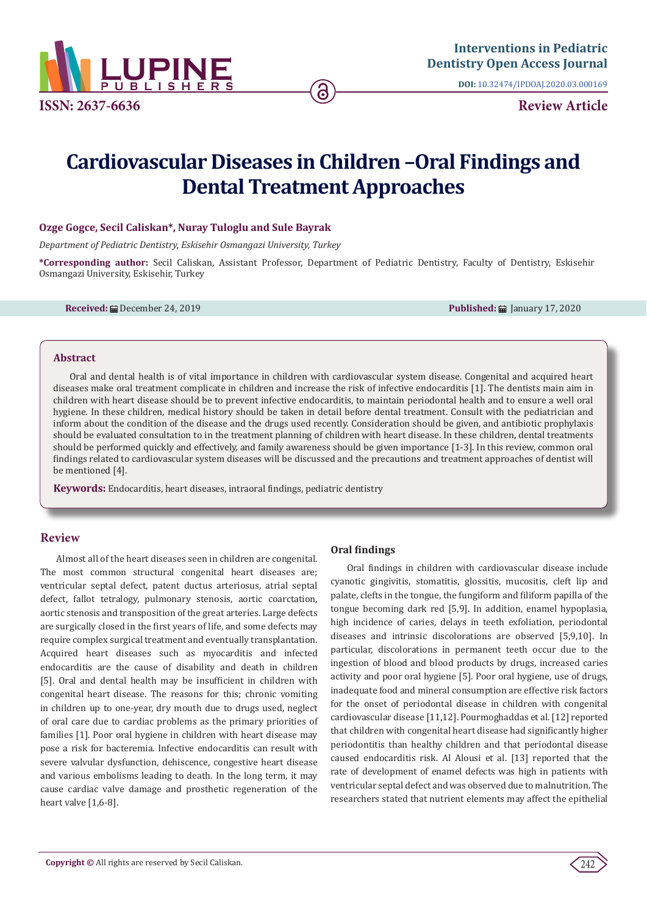

**DOI:** [10.32474/IPDOAJ.2020.03.000169](http://dx.doi.org/10.32474/IPDOAJ.2020.03.000169)

# **Cardiovascular Diseases in Children –Oral Findings and Dental Treatment Approaches**

ခ

## **Ozge Gogce, Secil Caliskan\*, Nuray Tuloglu and Sule Bayrak**

*Department of Pediatric Dentistry, Eskisehir Osmangazi University, Turkey* 

**\*Corresponding author:** Secil Caliskan, Assistant Professor, Department of Pediatric Dentistry, Faculty of Dentistry, Eskisehir Osmangazi University, Eskisehir, Turkey

**Received:** ■ December 24, 2019 **Published:** ■ January 17, 2020

#### **Abstract**

Oral and dental health is of vital importance in children with cardiovascular system disease. Congenital and acquired heart diseases make oral treatment complicate in children and increase the risk of infective endocarditis [1]. The dentists main aim in children with heart disease should be to prevent infective endocarditis, to maintain periodontal health and to ensure a well oral hygiene. In these children, medical history should be taken in detail before dental treatment. Consult with the pediatrician and inform about the condition of the disease and the drugs used recently. Consideration should be given, and antibiotic prophylaxis should be evaluated consultation to in the treatment planning of children with heart disease. In these children, dental treatments should be performed quickly and effectively, and family awareness should be given importance [1-3]. In this review, common oral findings related to cardiovascular system diseases will be discussed and the precautions and treatment approaches of dentist will be mentioned [4].

**Keywords:** Endocarditis, heart diseases, intraoral findings, pediatric dentistry

## **Review**

Almost all of the heart diseases seen in children are congenital. The most common structural congenital heart diseases are; ventricular septal defect, patent ductus arteriosus, atrial septal defect, fallot tetralogy, pulmonary stenosis, aortic coarctation, aortic stenosis and transposition of the great arteries. Large defects are surgically closed in the first years of life, and some defects may require complex surgical treatment and eventually transplantation. Acquired heart diseases such as myocarditis and infected endocarditis are the cause of disability and death in children [5]. Oral and dental health may be insufficient in children with congenital heart disease. The reasons for this; chronic vomiting in children up to one-year, dry mouth due to drugs used, neglect of oral care due to cardiac problems as the primary priorities of families [1]. Poor oral hygiene in children with heart disease may pose a risk for bacteremia. Infective endocarditis can result with severe valvular dysfunction, dehiscence, congestive heart disease and various embolisms leading to death. In the long term, it may cause cardiac valve damage and prosthetic regeneration of the heart valve [1,6-8].

### **Oral findings**

Oral findings in children with cardiovascular disease include cyanotic gingivitis, stomatitis, glossitis, mucositis, cleft lip and palate, clefts in the tongue, the fungiform and filiform papilla of the tongue becoming dark red [5,9]. In addition, enamel hypoplasia, high incidence of caries, delays in teeth exfoliation, periodontal diseases and intrinsic discolorations are observed [5,9,10]. In particular, discolorations in permanent teeth occur due to the ingestion of blood and blood products by drugs, increased caries activity and poor oral hygiene [5]. Poor oral hygiene, use of drugs, inadequate food and mineral consumption are effective risk factors for the onset of periodontal disease in children with congenital cardiovascular disease [11,12]. Pourmoghaddas et al. [12] reported that children with congenital heart disease had significantly higher periodontitis than healthy children and that periodontal disease caused endocarditis risk. Al Alousi et al. [13] reported that the rate of development of enamel defects was high in patients with ventricular septal defect and was observed due to malnutrition. The researchers stated that nutrient elements may affect the epithelial

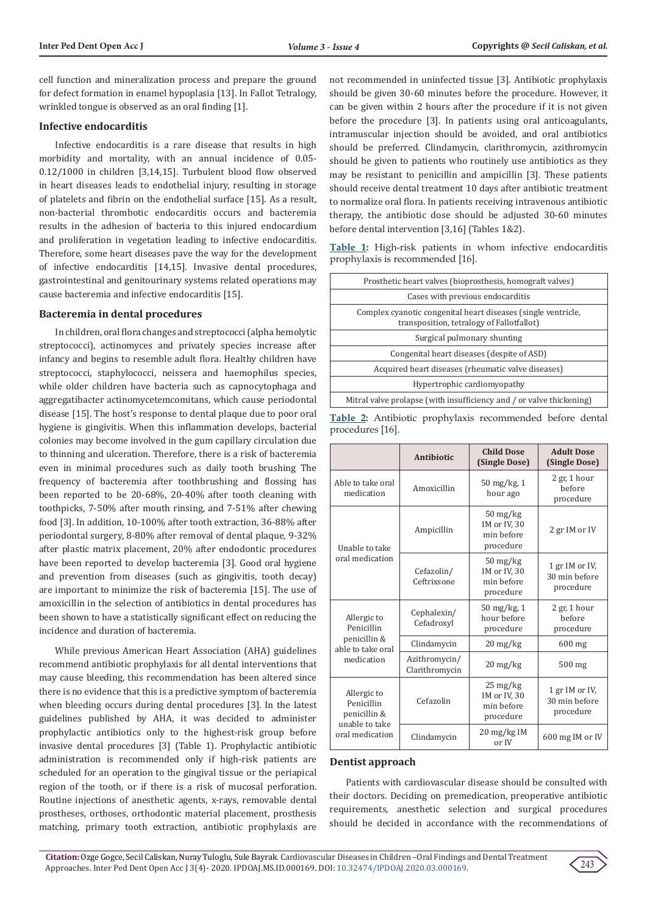cell function and mineralization process and prepare the ground for defect formation in enamel hypoplasia [13]. In Fallot Tetralogy, wrinkled tongue is observed as an oral finding [1].

#### **Infective endocarditis**

Infective endocarditis is a rare disease that results in high morbidity and mortality, with an annual incidence of 0.05- 0.12/1000 in children [3,14,15]. Turbulent blood flow observed in heart diseases leads to endothelial injury, resulting in storage of platelets and fibrin on the endothelial surface [15]. As a result, non-bacterial thrombotic endocarditis occurs and bacteremia results in the adhesion of bacteria to this injured endocardium and proliferation in vegetation leading to infective endocarditis. Therefore, some heart diseases pave the way for the development of infective endocarditis [14,15]. Invasive dental procedures, gastrointestinal and genitourinary systems related operations may cause bacteremia and infective endocarditis [15].

### **Bacteremia in dental procedures**

In children, oral flora changes and streptococci (alpha hemolytic streptococci), actinomyces and privately species increase after infancy and begins to resemble adult flora. Healthy children have streptococci, staphylococci, neissera and haemophilus species, while older children have bacteria such as capnocytophaga and aggregatibacter actinomycetemcomitans, which cause periodontal disease [15]. The host's response to dental plaque due to poor oral hygiene is gingivitis. When this inflammation develops, bacterial colonies may become involved in the gum capillary circulation due to thinning and ulceration. Therefore, there is a risk of bacteremia even in minimal procedures such as daily tooth brushing The frequency of bacteremia after toothbrushing and flossing has been reported to be 20-68%, 20-40% after tooth cleaning with toothpicks, 7-50% after mouth rinsing, and 7-51% after chewing food [3]. In addition, 10-100% after tooth extraction, 36-88% after periodontal surgery, 8-80% after removal of dental plaque, 9-32% after plastic matrix placement, 20% after endodontic procedures have been reported to develop bacteremia [3]. Good oral hygiene and prevention from diseases (such as gingivitis, tooth decay) are important to minimize the risk of bacteremia [15]. The use of amoxicillin in the selection of antibiotics in dental procedures has been shown to have a statistically significant effect on reducing the incidence and duration of bacteremia.

While previous American Heart Association (AHA) guidelines recommend antibiotic prophylaxis for all dental interventions that may cause bleeding, this recommendation has been altered since there is no evidence that this is a predictive symptom of bacteremia when bleeding occurs during dental procedures [3]. In the latest guidelines published by AHA, it was decided to administer prophylactic antibiotics only to the highest-risk group before invasive dental procedures [3] (Table 1). Prophylactic antibiotic administration is recommended only if high-risk patients are scheduled for an operation to the gingival tissue or the periapical region of the tooth, or if there is a risk of mucosal perforation. Routine injections of anesthetic agents, x-rays, removable dental prostheses, orthoses, orthodontic material placement, prosthesis matching, primary tooth extraction, antibiotic prophylaxis are

not recommended in uninfected tissue [3]. Antibiotic prophylaxis should be given 30-60 minutes before the procedure. However, it can be given within 2 hours after the procedure if it is not given before the procedure [3]. In patients using oral anticoagulants, intramuscular injection should be avoided, and oral antibiotics should be preferred. Clindamycin, clarithromycin, azithromycin should be given to patients who routinely use antibiotics as they may be resistant to penicillin and ampicillin [3]. These patients should receive dental treatment 10 days after antibiotic treatment to normalize oral flora. In patients receiving intravenous antibiotic therapy, the antibiotic dose should be adjusted 30-60 minutes before dental intervention [3,16] (Tables 1&2).

**Table 1:** High-risk patients in whom infective endocarditis prophylaxis is recommended [16].

| Prosthetic heart valves (bioprosthesis, homograft valves)                                                  |  |  |  |  |
|------------------------------------------------------------------------------------------------------------|--|--|--|--|
| Cases with previous endocarditis                                                                           |  |  |  |  |
| Complex cyanotic congenital heart diseases (single ventricle,<br>transposition, tetralogy of Fallotfallot) |  |  |  |  |
| Surgical pulmonary shunting                                                                                |  |  |  |  |
| Congenital heart diseases (despite of ASD)                                                                 |  |  |  |  |
| Acquired heart diseases (rheumatic valve diseases)                                                         |  |  |  |  |
| Hypertrophic cardiomyopathy                                                                                |  |  |  |  |
| Mitral valve prolapse (with insufficiency and / or valve thickening)                                       |  |  |  |  |
|                                                                                                            |  |  |  |  |

|                  |  | Table 2: Antibiotic prophylaxis recommended before dental |  |
|------------------|--|-----------------------------------------------------------|--|
| procedures [16]. |  |                                                           |  |

|                                                             | Antibiotic                      | <b>Child Dose</b><br>(Single Dose)                                          | <b>Adult Dose</b><br>(Single Dose)           |  |
|-------------------------------------------------------------|---------------------------------|-----------------------------------------------------------------------------|----------------------------------------------|--|
| Able to take oral<br>medication                             | Amoxicillin                     | 50 mg/kg, 1<br>hour ago                                                     | $2$ gr, 1 hour<br><b>before</b><br>procedure |  |
| Unable to take                                              | Ampicillin                      | $50 \frac{\text{mg}}{\text{kg}}$<br>IM or IV, 30<br>min before<br>procedure | 2 gr IM or IV                                |  |
| oral medication                                             | Cefazolin/<br>Ceftrixsone       | $50 \frac{\text{mg}}{\text{kg}}$<br>IM or IV, 30<br>min before<br>procedure | 1 gr IM or IV,<br>30 min before<br>procedure |  |
| Allergic to<br>Penicillin                                   | Cephalexin/<br>Cefadroxyl       | $50 \frac{\text{mg}}{\text{kg}}$ , 1<br>hour before<br>procedure            | $2$ gr, 1 hour<br><b>before</b><br>procedure |  |
| penicillin &<br>able to take oral                           | Clindamycin                     | $20 \frac{\text{mg}}{\text{kg}}$                                            | 600 mg                                       |  |
| medication                                                  | Azithromycin/<br>Clarithromycin | $20 \frac{\text{mg}}{\text{kg}}$                                            | $500$ mg                                     |  |
| Allergic to<br>Penicillin<br>penicillin &<br>unable to take | Cefazolin                       | $25 \,\mathrm{mg/kg}$<br>IM or IV, 30<br>min before<br>procedure            | 1 gr IM or IV,<br>30 min before<br>procedure |  |
| oral medication                                             | Clindamycin                     | $20 \frac{\text{mg}}{\text{kg}}$ IM<br>or IV                                | 600 mg IM or IV                              |  |

### **Dentist approach**

Patients with cardiovascular disease should be consulted with their doctors. Deciding on premedication, preoperative antibiotic requirements, anesthetic selection and surgical procedures should be decided in accordance with the recommendations of

243